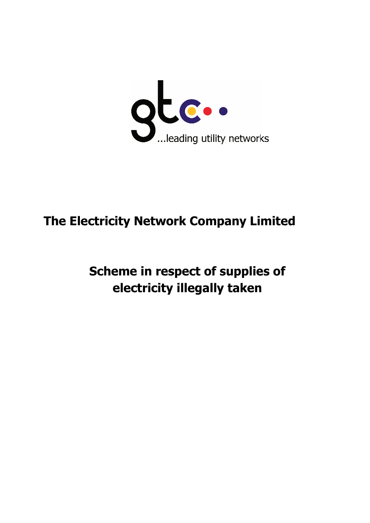

# **The Electricity Ne tricity Network Company Limit any Limited**

**Scheme in cheme in respect of supplies o upplies of electri electricity illegally taken taken**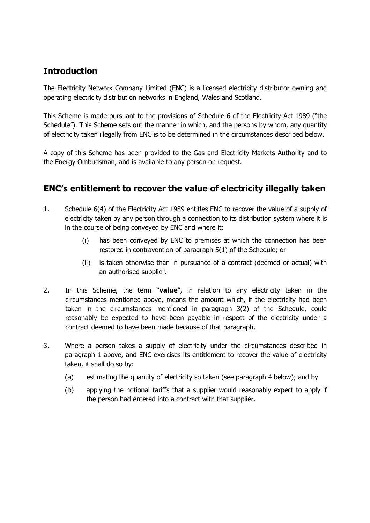## **Introduction**

The Electricity Network Company Limited (ENC) is a licensed electricity distributor owning and operating electricity distribution networks in England, Wales and Scotland.

This Scheme is made pursuant to the provisions of Schedule 6 of the Electricity Act 1989 ("the Schedule"). This Scheme sets out the manner in which, and the persons by whom, any quantity of electricity taken illegally from ENC is to be determined in the circumstances described below.

A copy of this Scheme has been provided to the Gas and Electricity Markets Authority and to the Energy Ombudsman, and is available to any person on request.

#### **ENC's entitlement to recover the value of electricity illegally taken**

- 1. Schedule 6(4) of the Electricity Act 1989 entitles ENC to recover the value of a supply of electricity taken by any person through a connection to its distribution system where it is in the course of being conveyed by ENC and where it:
	- (i) has been conveyed by ENC to premises at which the connection has been restored in contravention of paragraph 5(1) of the Schedule; or
	- (ii) is taken otherwise than in pursuance of a contract (deemed or actual) with an authorised supplier.
- 2. In this Scheme, the term "**value**", in relation to any electricity taken in the circumstances mentioned above, means the amount which, if the electricity had been taken in the circumstances mentioned in paragraph 3(2) of the Schedule, could reasonably be expected to have been payable in respect of the electricity under a contract deemed to have been made because of that paragraph.
- 3. Where a person takes a supply of electricity under the circumstances described in paragraph 1 above, and ENC exercises its entitlement to recover the value of electricity taken, it shall do so by:
	- (a) estimating the quantity of electricity so taken (see paragraph 4 below); and by
	- (b) applying the notional tariffs that a supplier would reasonably expect to apply if the person had entered into a contract with that supplier.